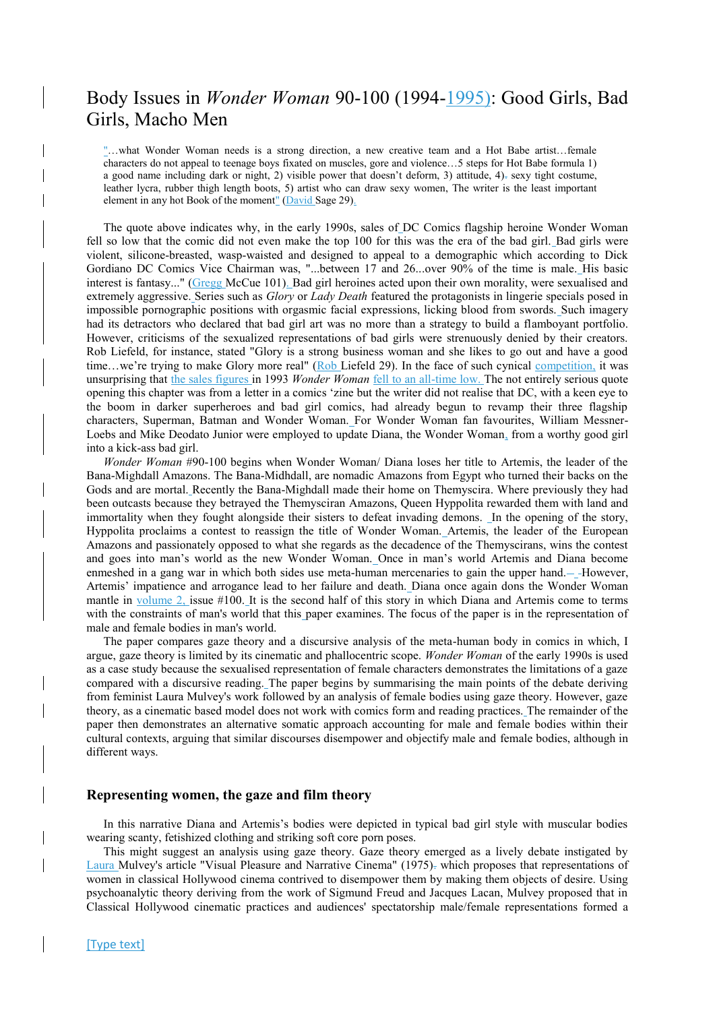# Body Issues in *Wonder Woman* 90-100 (1994-1995): Good Girls, Bad Girls, Macho Men

"…what Wonder Woman needs is a strong direction, a new creative team and a Hot Babe artist…female characters do not appeal to teenage boys fixated on muscles, gore and violence…5 steps for Hot Babe formula 1) a good name including dark or night, 2) visible power that doesn't deform, 3) attitude, 4). sexy tight costume, leather lycra, rubber thigh length boots, 5) artist who can draw sexy women, The writer is the least important element in any hot Book of the moment"  $(David$  Sage 29).

The quote above indicates why, in the early 1990s, sales of DC Comics flagship heroine Wonder Woman fell so low that the comic did not even make the top 100 for this was the era of the bad girl. Bad girls were violent, silicone-breasted, wasp-waisted and designed to appeal to a demographic which according to Dick Gordiano DC Comics Vice Chairman was, "...between 17 and 26...over 90% of the time is male. His basic interest is fantasy..." (Gregg McCue 101). Bad girl heroines acted upon their own morality, were sexualised and extremely aggressive. Series such as *Glory* or *Lady Death* featured the protagonists in lingerie specials posed in impossible pornographic positions with orgasmic facial expressions, licking blood from swords. Such imagery had its detractors who declared that bad girl art was no more than a strategy to build a flamboyant portfolio. However, criticisms of the sexualized representations of bad girls were strenuously denied by their creators. Rob Liefeld, for instance, stated "Glory is a strong business woman and she likes to go out and have a good time…we're trying to make Glory more real" (Rob Liefeld 29). In the face of such cynical competition, it was unsurprising that the sales figures in 1993 *Wonder Woman* fell to an all-time low. The not entirely serious quote opening this chapter was from a letter in a comics 'zine but the writer did not realise that DC, with a keen eye to the boom in darker superheroes and bad girl comics, had already begun to revamp their three flagship characters, Superman, Batman and Wonder Woman. For Wonder Woman fan favourites, William Messner-Loebs and Mike Deodato Junior were employed to update Diana, the Wonder Woman, from a worthy good girl into a kick-ass bad girl.

*Wonder Woman* #90-100 begins when Wonder Woman/ Diana loses her title to Artemis, the leader of the Bana-Mighdall Amazons. The Bana-Midhdall, are nomadic Amazons from Egypt who turned their backs on the Gods and are mortal. Recently the Bana-Mighdall made their home on Themyscira. Where previously they had been outcasts because they betrayed the Themysciran Amazons, Queen Hyppolita rewarded them with land and immortality when they fought alongside their sisters to defeat invading demons. In the opening of the story, Hyppolita proclaims a contest to reassign the title of Wonder Woman. Artemis, the leader of the European Amazons and passionately opposed to what she regards as the decadence of the Themyscirans, wins the contest and goes into man's world as the new Wonder Woman. Once in man's world Artemis and Diana become enmeshed in a gang war in which both sides use meta-human mercenaries to gain the upper hand. $-$  However, Artemis' impatience and arrogance lead to her failure and death. Diana once again dons the Wonder Woman mantle in volume 2, issue #100. It is the second half of this story in which Diana and Artemis come to terms with the constraints of man's world that this paper examines. The focus of the paper is in the representation of male and female bodies in man's world.

The paper compares gaze theory and a discursive analysis of the meta-human body in comics in which, I argue, gaze theory is limited by its cinematic and phallocentric scope. *Wonder Woman* of the early 1990s is used as a case study because the sexualised representation of female characters demonstrates the limitations of a gaze compared with a discursive reading. The paper begins by summarising the main points of the debate deriving from feminist Laura Mulvey's work followed by an analysis of female bodies using gaze theory. However, gaze theory, as a cinematic based model does not work with comics form and reading practices. The remainder of the paper then demonstrates an alternative somatic approach accounting for male and female bodies within their cultural contexts, arguing that similar discourses disempower and objectify male and female bodies, although in different ways.

#### **Representing women, the gaze and film theory**

In this narrative Diana and Artemis's bodies were depicted in typical bad girl style with muscular bodies wearing scanty, fetishized clothing and striking soft core porn poses.

This might suggest an analysis using gaze theory. Gaze theory emerged as a lively debate instigated by Laura Mulvey's article "Visual Pleasure and Narrative Cinema" (1975). which proposes that representations of women in classical Hollywood cinema contrived to disempower them by making them objects of desire. Using psychoanalytic theory deriving from the work of Sigmund Freud and Jacques Lacan, Mulvey proposed that in Classical Hollywood cinematic practices and audiences' spectatorship male/female representations formed a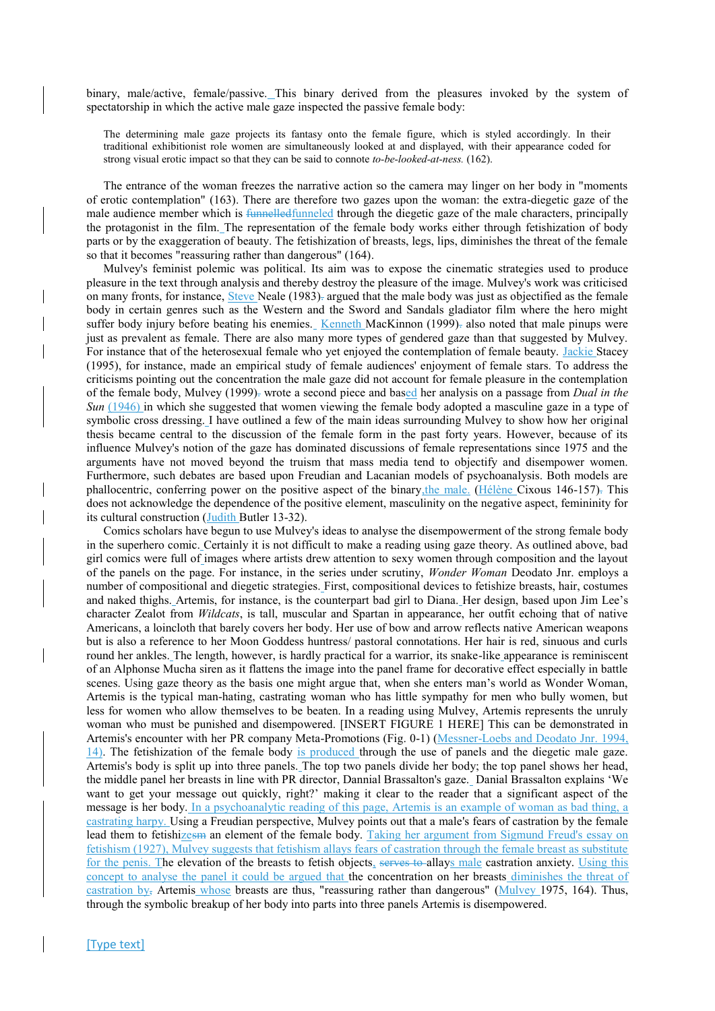binary, male/active, female/passive. This binary derived from the pleasures invoked by the system of spectatorship in which the active male gaze inspected the passive female body:

The determining male gaze projects its fantasy onto the female figure, which is styled accordingly. In their traditional exhibitionist role women are simultaneously looked at and displayed, with their appearance coded for strong visual erotic impact so that they can be said to connote *to-be-looked-at-ness.* (162).

The entrance of the woman freezes the narrative action so the camera may linger on her body in "moments of erotic contemplation" (163). There are therefore two gazes upon the woman: the extra-diegetic gaze of the male audience member which is funnelled funneled through the diegetic gaze of the male characters, principally the protagonist in the film. The representation of the female body works either through fetishization of body parts or by the exaggeration of beauty. The fetishization of breasts, legs, lips, diminishes the threat of the female so that it becomes "reassuring rather than dangerous" (164).

Mulvey's feminist polemic was political. Its aim was to expose the cinematic strategies used to produce pleasure in the text through analysis and thereby destroy the pleasure of the image. Mulvey's work was criticised on many fronts, for instance, Steve Neale (1983). argued that the male body was just as objectified as the female body in certain genres such as the Western and the Sword and Sandals gladiator film where the hero might suffer body injury before beating his enemies. Kenneth MacKinnon (1999). also noted that male pinups were just as prevalent as female. There are also many more types of gendered gaze than that suggested by Mulvey. For instance that of the heterosexual female who yet enjoyed the contemplation of female beauty. Jackie Stacey (1995), for instance, made an empirical study of female audiences' enjoyment of female stars. To address the criticisms pointing out the concentration the male gaze did not account for female pleasure in the contemplation of the female body, Mulvey (1999). wrote a second piece and based her analysis on a passage from *Dual in the Sun* (1946) in which she suggested that women viewing the female body adopted a masculine gaze in a type of symbolic cross dressing. I have outlined a few of the main ideas surrounding Mulvey to show how her original thesis became central to the discussion of the female form in the past forty years. However, because of its influence Mulvey's notion of the gaze has dominated discussions of female representations since 1975 and the arguments have not moved beyond the truism that mass media tend to objectify and disempower women. Furthermore, such debates are based upon Freudian and Lacanian models of psychoanalysis. Both models are phallocentric, conferring power on the positive aspect of the binary, the male. (Hélène Cixous 146-157). This does not acknowledge the dependence of the positive element, masculinity on the negative aspect, femininity for its cultural construction (Judith Butler 13-32).

Comics scholars have begun to use Mulvey's ideas to analyse the disempowerment of the strong female body in the superhero comic. Certainly it is not difficult to make a reading using gaze theory. As outlined above, bad girl comics were full of images where artists drew attention to sexy women through composition and the layout of the panels on the page. For instance, in the series under scrutiny, *Wonder Woman* Deodato Jnr. employs a number of compositional and diegetic strategies. First, compositional devices to fetishize breasts, hair, costumes and naked thighs. Artemis, for instance, is the counterpart bad girl to Diana. Her design, based upon Jim Lee's character Zealot from *Wildcats*, is tall, muscular and Spartan in appearance, her outfit echoing that of native Americans, a loincloth that barely covers her body. Her use of bow and arrow reflects native American weapons but is also a reference to her Moon Goddess huntress/ pastoral connotations. Her hair is red, sinuous and curls round her ankles. The length, however, is hardly practical for a warrior, its snake-like appearance is reminiscent of an Alphonse Mucha siren as it flattens the image into the panel frame for decorative effect especially in battle scenes. Using gaze theory as the basis one might argue that, when she enters man's world as Wonder Woman, Artemis is the typical man-hating, castrating woman who has little sympathy for men who bully women, but less for women who allow themselves to be beaten. In a reading using Mulvey, Artemis represents the unruly woman who must be punished and disempowered. [INSERT FIGURE 1 HERE] This can be demonstrated in Artemis's encounter with her PR company Meta-Promotions (Fig. 0-1) (Messner-Loebs and Deodato Jnr. 1994, 14). The fetishization of the female body is produced through the use of panels and the diegetic male gaze. Artemis's body is split up into three panels. The top two panels divide her body; the top panel shows her head, the middle panel her breasts in line with PR director, Dannial Brassalton's gaze. Danial Brassalton explains 'We want to get your message out quickly, right?' making it clear to the reader that a significant aspect of the message is her body. In a psychoanalytic reading of this page, Artemis is an example of woman as bad thing, a castrating harpy. Using a Freudian perspective, Mulvey points out that a male's fears of castration by the female lead them to fetishizes an element of the female body. Taking her argument from Sigmund Freud's essay on fetishism (1927), Mulvey suggests that fetishism allays fears of castration through the female breast as substitute for the penis. The elevation of the breasts to fetish objects, serves to allays male castration anxiety. Using this concept to analyse the panel it could be argued that the concentration on her breasts diminishes the threat of castration by, Artemis whose breasts are thus, "reassuring rather than dangerous" (Mulvey 1975, 164). Thus, through the symbolic breakup of her body into parts into three panels Artemis is disempowered.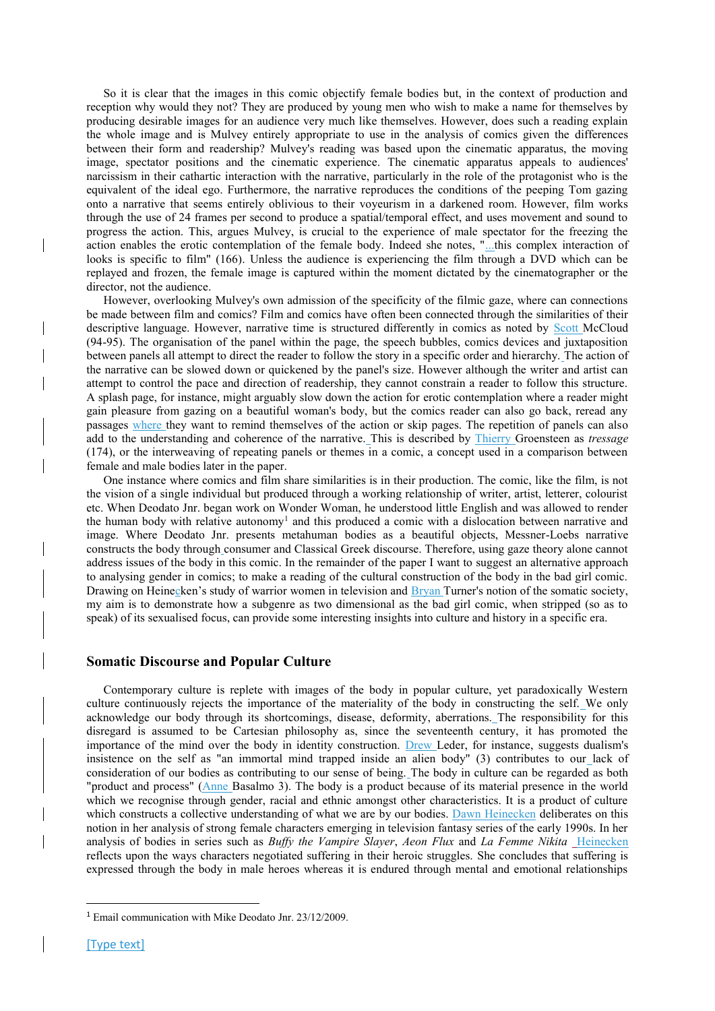So it is clear that the images in this comic objectify female bodies but, in the context of production and reception why would they not? They are produced by young men who wish to make a name for themselves by producing desirable images for an audience very much like themselves. However, does such a reading explain the whole image and is Mulvey entirely appropriate to use in the analysis of comics given the differences between their form and readership? Mulvey's reading was based upon the cinematic apparatus, the moving image, spectator positions and the cinematic experience. The cinematic apparatus appeals to audiences' narcissism in their cathartic interaction with the narrative, particularly in the role of the protagonist who is the equivalent of the ideal ego. Furthermore, the narrative reproduces the conditions of the peeping Tom gazing onto a narrative that seems entirely oblivious to their voyeurism in a darkened room. However, film works through the use of 24 frames per second to produce a spatial/temporal effect, and uses movement and sound to progress the action. This, argues Mulvey, is crucial to the experience of male spectator for the freezing the action enables the erotic contemplation of the female body. Indeed she notes, "...this complex interaction of looks is specific to film" (166). Unless the audience is experiencing the film through a DVD which can be replayed and frozen, the female image is captured within the moment dictated by the cinematographer or the director, not the audience.

However, overlooking Mulvey's own admission of the specificity of the filmic gaze, where can connections be made between film and comics? Film and comics have often been connected through the similarities of their descriptive language. However, narrative time is structured differently in comics as noted by Scott McCloud (94-95). The organisation of the panel within the page, the speech bubbles, comics devices and juxtaposition between panels all attempt to direct the reader to follow the story in a specific order and hierarchy. The action of the narrative can be slowed down or quickened by the panel's size. However although the writer and artist can attempt to control the pace and direction of readership, they cannot constrain a reader to follow this structure. A splash page, for instance, might arguably slow down the action for erotic contemplation where a reader might gain pleasure from gazing on a beautiful woman's body, but the comics reader can also go back, reread any passages where they want to remind themselves of the action or skip pages. The repetition of panels can also add to the understanding and coherence of the narrative. This is described by Thierry Groensteen as *tressage*  (174), or the interweaving of repeating panels or themes in a comic, a concept used in a comparison between female and male bodies later in the paper.

One instance where comics and film share similarities is in their production. The comic, like the film, is not the vision of a single individual but produced through a working relationship of writer, artist, letterer, colourist etc. When Deodato Jnr. began work on Wonder Woman, he understood little English and was allowed to render the human body with relative autonomy<sup>1</sup> and this produced a comic with a dislocation between narrative and image. Where Deodato Jnr. presents metahuman bodies as a beautiful objects, Messner-Loebs narrative constructs the body through consumer and Classical Greek discourse. Therefore, using gaze theory alone cannot address issues of the body in this comic. In the remainder of the paper I want to suggest an alternative approach to analysing gender in comics; to make a reading of the cultural construction of the body in the bad girl comic. Drawing on Heinecken's study of warrior women in television and Bryan Turner's notion of the somatic society, my aim is to demonstrate how a subgenre as two dimensional as the bad girl comic, when stripped (so as to speak) of its sexualised focus, can provide some interesting insights into culture and history in a specific era.

## **Somatic Discourse and Popular Culture**

Contemporary culture is replete with images of the body in popular culture, yet paradoxically Western culture continuously rejects the importance of the materiality of the body in constructing the self. We only acknowledge our body through its shortcomings, disease, deformity, aberrations. The responsibility for this disregard is assumed to be Cartesian philosophy as, since the seventeenth century, it has promoted the importance of the mind over the body in identity construction. Drew Leder, for instance, suggests dualism's insistence on the self as "an immortal mind trapped inside an alien body" (3) contributes to our lack of consideration of our bodies as contributing to our sense of being. The body in culture can be regarded as both "product and process" (Anne Basalmo 3). The body is a product because of its material presence in the world which we recognise through gender, racial and ethnic amongst other characteristics. It is a product of culture which constructs a collective understanding of what we are by our bodies. Dawn Heinecken deliberates on this notion in her analysis of strong female characters emerging in television fantasy series of the early 1990s. In her analysis of bodies in series such as *Buffy the Vampire Slayer*, *Aeon Flux* and *La Femme Nikita* Heinecken reflects upon the ways characters negotiated suffering in their heroic struggles. She concludes that suffering is expressed through the body in male heroes whereas it is endured through mental and emotional relationships

**.** 

<sup>1</sup> Email communication with Mike Deodato Jnr. 23/12/2009.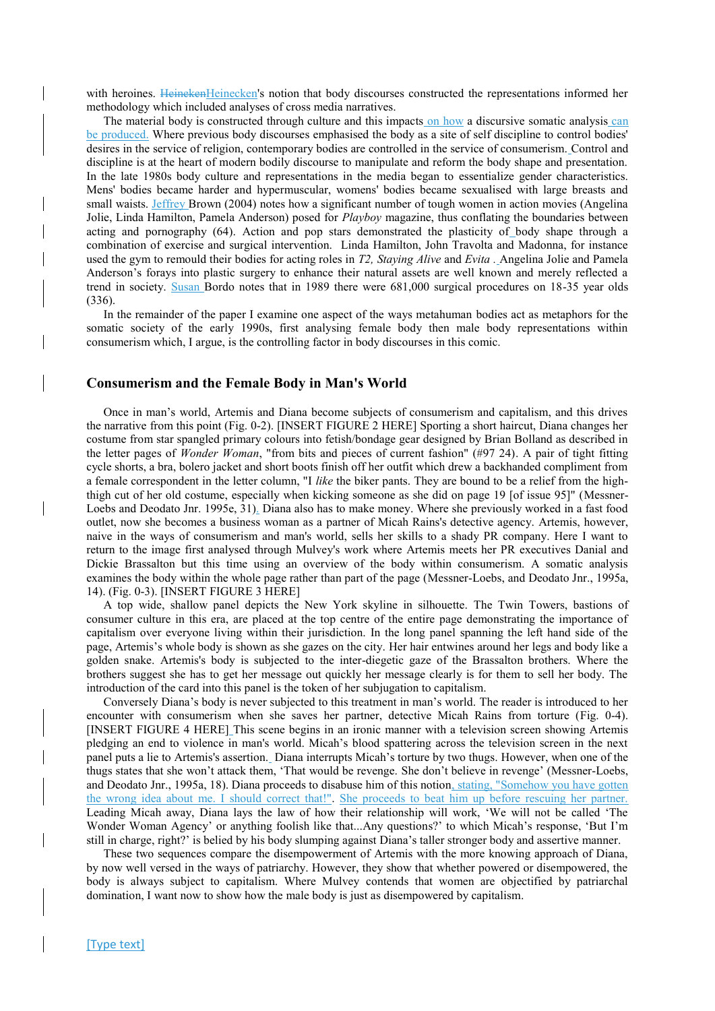with heroines. HeinekenHeinecken's notion that body discourses constructed the representations informed her methodology which included analyses of cross media narratives.

The material body is constructed through culture and this impacts on how a discursive somatic analysis can be produced. Where previous body discourses emphasised the body as a site of self discipline to control bodies' desires in the service of religion, contemporary bodies are controlled in the service of consumerism. Control and discipline is at the heart of modern bodily discourse to manipulate and reform the body shape and presentation. In the late 1980s body culture and representations in the media began to essentialize gender characteristics. Mens' bodies became harder and hypermuscular, womens' bodies became sexualised with large breasts and small waists. Jeffrey Brown (2004) notes how a significant number of tough women in action movies (Angelina Jolie, Linda Hamilton, Pamela Anderson) posed for *Playboy* magazine, thus conflating the boundaries between acting and pornography (64). Action and pop stars demonstrated the plasticity of body shape through a combination of exercise and surgical intervention. Linda Hamilton, John Travolta and Madonna, for instance used the gym to remould their bodies for acting roles in *T2, Staying Alive* and *Evita .* Angelina Jolie and Pamela Anderson's forays into plastic surgery to enhance their natural assets are well known and merely reflected a trend in society. Susan Bordo notes that in 1989 there were 681,000 surgical procedures on 18-35 year olds (336).

In the remainder of the paper I examine one aspect of the ways metahuman bodies act as metaphors for the somatic society of the early 1990s, first analysing female body then male body representations within consumerism which, I argue, is the controlling factor in body discourses in this comic.

## **Consumerism and the Female Body in Man's World**

Once in man's world, Artemis and Diana become subjects of consumerism and capitalism, and this drives the narrative from this point (Fig. 0-2). [INSERT FIGURE 2 HERE] Sporting a short haircut, Diana changes her costume from star spangled primary colours into fetish/bondage gear designed by Brian Bolland as described in the letter pages of *Wonder Woman*, "from bits and pieces of current fashion" (#97 24). A pair of tight fitting cycle shorts, a bra, bolero jacket and short boots finish off her outfit which drew a backhanded compliment from a female correspondent in the letter column, "I *like* the biker pants. They are bound to be a relief from the highthigh cut of her old costume, especially when kicking someone as she did on page 19 [of issue 95]" (Messner-Loebs and Deodato Jnr. 1995e, 31). Diana also has to make money. Where she previously worked in a fast food outlet, now she becomes a business woman as a partner of Micah Rains's detective agency. Artemis, however, naive in the ways of consumerism and man's world, sells her skills to a shady PR company. Here I want to return to the image first analysed through Mulvey's work where Artemis meets her PR executives Danial and Dickie Brassalton but this time using an overview of the body within consumerism. A somatic analysis examines the body within the whole page rather than part of the page (Messner-Loebs, and Deodato Jnr., 1995a, 14). (Fig. 0-3). [INSERT FIGURE 3 HERE]

A top wide, shallow panel depicts the New York skyline in silhouette. The Twin Towers, bastions of consumer culture in this era, are placed at the top centre of the entire page demonstrating the importance of capitalism over everyone living within their jurisdiction. In the long panel spanning the left hand side of the page, Artemis's whole body is shown as she gazes on the city. Her hair entwines around her legs and body like a golden snake. Artemis's body is subjected to the inter-diegetic gaze of the Brassalton brothers. Where the brothers suggest she has to get her message out quickly her message clearly is for them to sell her body. The introduction of the card into this panel is the token of her subjugation to capitalism.

Conversely Diana's body is never subjected to this treatment in man's world. The reader is introduced to her encounter with consumerism when she saves her partner, detective Micah Rains from torture (Fig. 0-4). [INSERT FIGURE 4 HERE] This scene begins in an ironic manner with a television screen showing Artemis pledging an end to violence in man's world. Micah's blood spattering across the television screen in the next panel puts a lie to Artemis's assertion. Diana interrupts Micah's torture by two thugs. However, when one of the thugs states that she won't attack them, 'That would be revenge. She don't believe in revenge' (Messner-Loebs, and Deodato Jnr., 1995a, 18). Diana proceeds to disabuse him of this notion, stating, "Somehow you have gotten the wrong idea about me. I should correct that!". She proceeds to beat him up before rescuing her partner. Leading Micah away, Diana lays the law of how their relationship will work, 'We will not be called 'The Wonder Woman Agency' or anything foolish like that...Any questions?' to which Micah's response, 'But I'm still in charge, right?' is belied by his body slumping against Diana's taller stronger body and assertive manner.

These two sequences compare the disempowerment of Artemis with the more knowing approach of Diana, by now well versed in the ways of patriarchy. However, they show that whether powered or disempowered, the body is always subject to capitalism. Where Mulvey contends that women are objectified by patriarchal domination, I want now to show how the male body is just as disempowered by capitalism.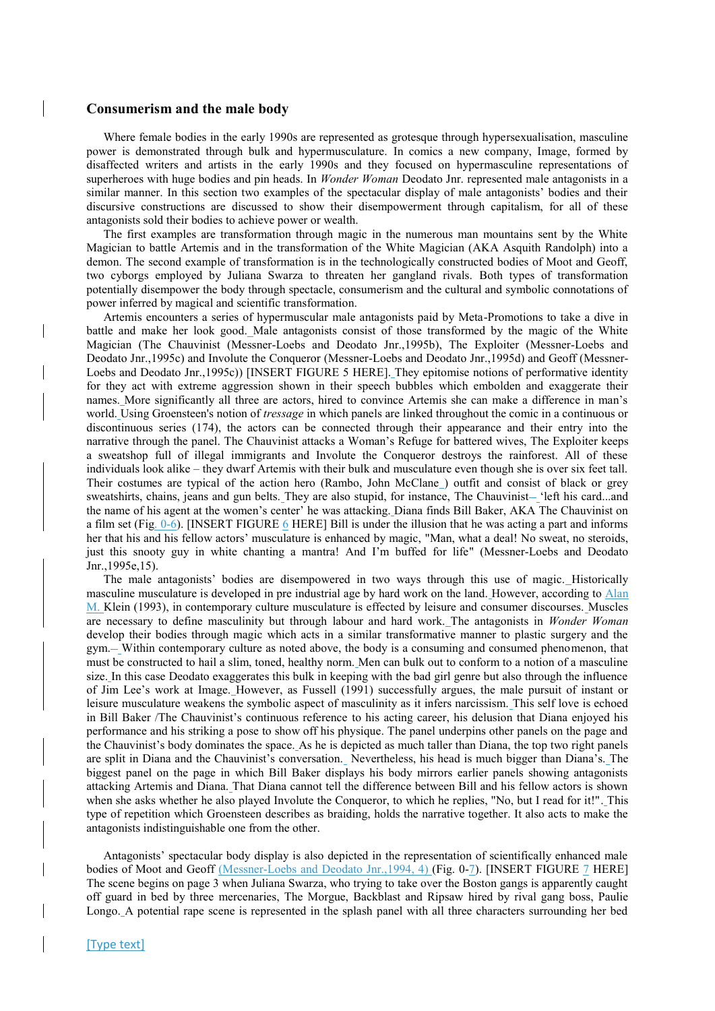### **Consumerism and the male body**

Where female bodies in the early 1990s are represented as grotesque through hypersexualisation, masculine power is demonstrated through bulk and hypermusculature. In comics a new company, Image, formed by disaffected writers and artists in the early 1990s and they focused on hypermasculine representations of superheroes with huge bodies and pin heads. In *Wonder Woman* Deodato Jnr. represented male antagonists in a similar manner. In this section two examples of the spectacular display of male antagonists' bodies and their discursive constructions are discussed to show their disempowerment through capitalism, for all of these antagonists sold their bodies to achieve power or wealth.

The first examples are transformation through magic in the numerous man mountains sent by the White Magician to battle Artemis and in the transformation of the White Magician (AKA Asquith Randolph) into a demon. The second example of transformation is in the technologically constructed bodies of Moot and Geoff, two cyborgs employed by Juliana Swarza to threaten her gangland rivals. Both types of transformation potentially disempower the body through spectacle, consumerism and the cultural and symbolic connotations of power inferred by magical and scientific transformation.

Artemis encounters a series of hypermuscular male antagonists paid by Meta-Promotions to take a dive in battle and make her look good. Male antagonists consist of those transformed by the magic of the White Magician (The Chauvinist (Messner-Loebs and Deodato Jnr.,1995b), The Exploiter (Messner-Loebs and Deodato Jnr.,1995c) and Involute the Conqueror (Messner-Loebs and Deodato Jnr.,1995d) and Geoff (Messner-Loebs and Deodato Jnr.,1995c)) [INSERT FIGURE 5 HERE]. They epitomise notions of performative identity for they act with extreme aggression shown in their speech bubbles which embolden and exaggerate their names. More significantly all three are actors, hired to convince Artemis she can make a difference in man's world. Using Groensteen's notion of *tressage* in which panels are linked throughout the comic in a continuous or discontinuous series (174), the actors can be connected through their appearance and their entry into the narrative through the panel. The Chauvinist attacks a Woman's Refuge for battered wives, The Exploiter keeps a sweatshop full of illegal immigrants and Involute the Conqueror destroys the rainforest. All of these individuals look alike – they dwarf Artemis with their bulk and musculature even though she is over six feet tall. Their costumes are typical of the action hero (Rambo, John McClane ) outfit and consist of black or grey sweatshirts, chains, jeans and gun belts. They are also stupid, for instance, The Chauvinist-'left his card...and the name of his agent at the women's center' he was attacking. Diana finds Bill Baker, AKA The Chauvinist on a film set (Fig. 0-6). [INSERT FIGURE 6 HERE] Bill is under the illusion that he was acting a part and informs her that his and his fellow actors' musculature is enhanced by magic, "Man, what a deal! No sweat, no steroids, just this snooty guy in white chanting a mantra! And I'm buffed for life" (Messner-Loebs and Deodato Jnr.,1995e,15).

The male antagonists' bodies are disempowered in two ways through this use of magic. Historically masculine musculature is developed in pre industrial age by hard work on the land. However, according to Alan M. Klein (1993), in contemporary culture musculature is effected by leisure and consumer discourses. Muscles are necessary to define masculinity but through labour and hard work. The antagonists in *Wonder Woman*  develop their bodies through magic which acts in a similar transformative manner to plastic surgery and the gym. Within contemporary culture as noted above, the body is a consuming and consumed phenomenon, that must be constructed to hail a slim, toned, healthy norm. Men can bulk out to conform to a notion of a masculine size. In this case Deodato exaggerates this bulk in keeping with the bad girl genre but also through the influence of Jim Lee's work at Image. However, as Fussell (1991) successfully argues, the male pursuit of instant or leisure musculature weakens the symbolic aspect of masculinity as it infers narcissism. This self love is echoed in Bill Baker /The Chauvinist's continuous reference to his acting career, his delusion that Diana enjoyed his performance and his striking a pose to show off his physique. The panel underpins other panels on the page and the Chauvinist's body dominates the space. As he is depicted as much taller than Diana, the top two right panels are split in Diana and the Chauvinist's conversation. Nevertheless, his head is much bigger than Diana's. The biggest panel on the page in which Bill Baker displays his body mirrors earlier panels showing antagonists attacking Artemis and Diana. That Diana cannot tell the difference between Bill and his fellow actors is shown when she asks whether he also played Involute the Conqueror, to which he replies, "No, but I read for it!". This type of repetition which Groensteen describes as braiding, holds the narrative together. It also acts to make the antagonists indistinguishable one from the other.

Antagonists' spectacular body display is also depicted in the representation of scientifically enhanced male bodies of Moot and Geoff (Messner-Loebs and Deodato Jnr., 1994, 4) (Fig. 0-7). [INSERT FIGURE 7 HERE] The scene begins on page 3 when Juliana Swarza, who trying to take over the Boston gangs is apparently caught off guard in bed by three mercenaries, The Morgue, Backblast and Ripsaw hired by rival gang boss, Paulie Longo. A potential rape scene is represented in the splash panel with all three characters surrounding her bed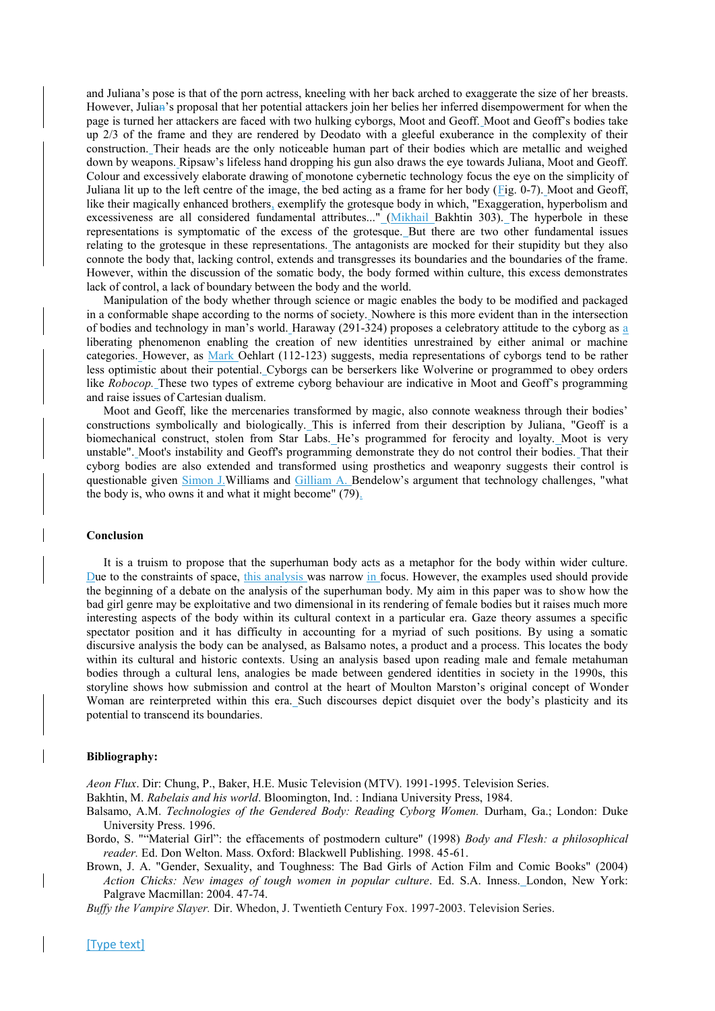and Juliana's pose is that of the porn actress, kneeling with her back arched to exaggerate the size of her breasts. However, Julian's proposal that her potential attackers join her belies her inferred disempowerment for when the page is turned her attackers are faced with two hulking cyborgs, Moot and Geoff. Moot and Geoff's bodies take up 2/3 of the frame and they are rendered by Deodato with a gleeful exuberance in the complexity of their construction. Their heads are the only noticeable human part of their bodies which are metallic and weighed down by weapons. Ripsaw's lifeless hand dropping his gun also draws the eye towards Juliana, Moot and Geoff. Colour and excessively elaborate drawing of monotone cybernetic technology focus the eye on the simplicity of Juliana lit up to the left centre of the image, the bed acting as a frame for her body (Fig. 0-7). Moot and Geoff, like their magically enhanced brothers, exemplify the grotesque body in which, "Exaggeration, hyperbolism and excessiveness are all considered fundamental attributes..." (Mikhail Bakhtin 303). The hyperbole in these representations is symptomatic of the excess of the grotesque. But there are two other fundamental issues relating to the grotesque in these representations. The antagonists are mocked for their stupidity but they also connote the body that, lacking control, extends and transgresses its boundaries and the boundaries of the frame. However, within the discussion of the somatic body, the body formed within culture, this excess demonstrates lack of control, a lack of boundary between the body and the world.

Manipulation of the body whether through science or magic enables the body to be modified and packaged in a conformable shape according to the norms of society. Nowhere is this more evident than in the intersection of bodies and technology in man's world. Haraway (291-324) proposes a celebratory attitude to the cyborg as a liberating phenomenon enabling the creation of new identities unrestrained by either animal or machine categories. However, as Mark Oehlart (112-123) suggests, media representations of cyborgs tend to be rather less optimistic about their potential. Cyborgs can be berserkers like Wolverine or programmed to obey orders like *Robocop.* These two types of extreme cyborg behaviour are indicative in Moot and Geoff's programming and raise issues of Cartesian dualism.

Moot and Geoff, like the mercenaries transformed by magic, also connote weakness through their bodies' constructions symbolically and biologically. This is inferred from their description by Juliana, "Geoff is a biomechanical construct, stolen from Star Labs. He's programmed for ferocity and loyalty. Moot is very unstable". Moot's instability and Geoff's programming demonstrate they do not control their bodies. That their cyborg bodies are also extended and transformed using prosthetics and weaponry suggests their control is questionable given Simon J.Williams and Gilliam A. Bendelow's argument that technology challenges, "what the body is, who owns it and what it might become" (79).

#### **Conclusion**

It is a truism to propose that the superhuman body acts as a metaphor for the body within wider culture. Due to the constraints of space, this analysis was narrow in focus. However, the examples used should provide the beginning of a debate on the analysis of the superhuman body. My aim in this paper was to show how the bad girl genre may be exploitative and two dimensional in its rendering of female bodies but it raises much more interesting aspects of the body within its cultural context in a particular era. Gaze theory assumes a specific spectator position and it has difficulty in accounting for a myriad of such positions. By using a somatic discursive analysis the body can be analysed, as Balsamo notes, a product and a process. This locates the body within its cultural and historic contexts. Using an analysis based upon reading male and female metahuman bodies through a cultural lens, analogies be made between gendered identities in society in the 1990s, this storyline shows how submission and control at the heart of Moulton Marston's original concept of Wonder Woman are reinterpreted within this era. Such discourses depict disquiet over the body's plasticity and its potential to transcend its boundaries.

#### **Bibliography:**

*Aeon Flux*. Dir: Chung, P., Baker, H.E. Music Television (MTV). 1991-1995. Television Series.

Bakhtin, M. *Rabelais and his world*. Bloomington, Ind. : Indiana University Press, 1984.

Balsamo, A.M. *Technologies of the Gendered Body: Reading Cyborg Women.* Durham, Ga.; London: Duke University Press. 1996.

- Bordo, S. ""Material Girl": the effacements of postmodern culture" (1998) *Body and Flesh: a philosophical reader.* Ed. Don Welton. Mass. Oxford: Blackwell Publishing. 1998. 45-61.
- Brown, J. A. "Gender, Sexuality, and Toughness: The Bad Girls of Action Film and Comic Books" (2004) *Action Chicks: New images of tough women in popular culture*. Ed. S.A. Inness. London, New York: Palgrave Macmillan: 2004. 47-74.

*Buffy the Vampire Slayer.* Dir. Whedon, J. Twentieth Century Fox. 1997-2003. Television Series.